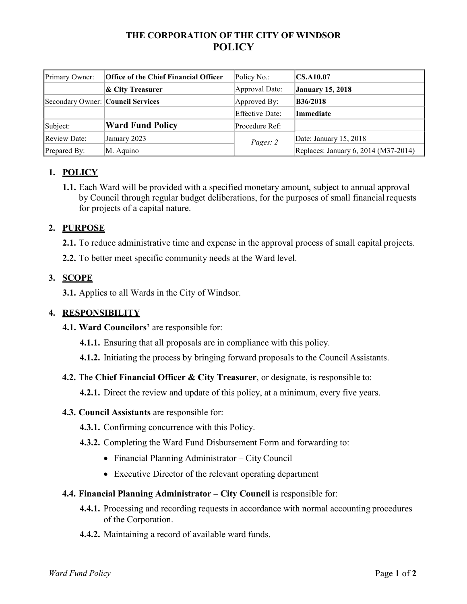## **THE CORPORATION OF THE CITY OF WINDSOR POLICY**

| Primary Owner:                    | <b>Office of the Chief Financial Officer</b> | Policy No.:     | CS.A10.07                            |
|-----------------------------------|----------------------------------------------|-----------------|--------------------------------------|
|                                   | & City Treasurer                             | Approval Date:  | <b>January 15, 2018</b>              |
| Secondary Owner: Council Services |                                              | Approved By:    | <b>B36/2018</b>                      |
|                                   |                                              | Effective Date: | <b>Immediate</b>                     |
| Subject:                          | <b>Ward Fund Policy</b>                      | Procedure Ref:  |                                      |
| <b>Review Date:</b>               | January 2023                                 | Pages: 2        | Date: January 15, 2018               |
| Prepared By:                      | M. Aquino                                    |                 | Replaces: January 6, 2014 (M37-2014) |

# **1. POLICY**

**1.1.** Each Ward will be provided with a specified monetary amount, subject to annual approval by Council through regular budget deliberations, for the purposes of small financial requests for projects of a capital nature.

## **2. PURPOSE**

**2.1.** To reduce administrative time and expense in the approval process of small capital projects.

**2.2.** To better meet specific community needs at the Ward level.

### **3. SCOPE**

**3.1.** Applies to all Wards in the City of Windsor.

### **4. RESPONSIBILITY**

- **4.1. Ward Councilors'** are responsible for:
	- **4.1.1.** Ensuring that all proposals are in compliance with this policy.
	- **4.1.2.** Initiating the process by bringing forward proposals to the Council Assistants.
- **4.2.** The **Chief Financial Officer & City Treasurer**, or designate, is responsible to:

**4.2.1.** Direct the review and update of this policy, at a minimum, every five years.

#### **4.3. Council Assistants** are responsible for:

- **4.3.1.** Confirming concurrence with this Policy.
- **4.3.2.** Completing the Ward Fund Disbursement Form and forwarding to:
	- Financial Planning Administrator City Council
	- Executive Director of the relevant operating department

#### **4.4. Financial Planning Administrator – City Council** is responsible for:

- **4.4.1.** Processing and recording requests in accordance with normal accounting procedures of the Corporation.
- **4.4.2.** Maintaining a record of available ward funds.